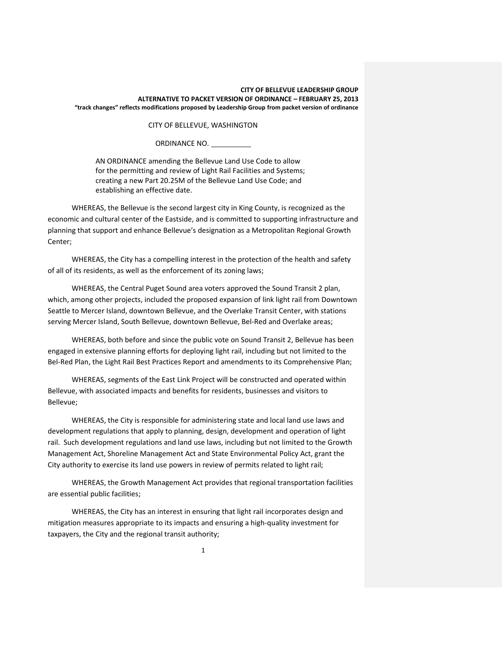CITY OF BELLEVUE, WASHINGTON

ORDINANCE NO.

AN ORDINANCE amending the Bellevue Land Use Code to allow for the permitting and review of Light Rail Facilities and Systems; creating a new Part 20.25M of the Bellevue Land Use Code; and establishing an effective date.

WHEREAS, the Bellevue is the second largest city in King County, is recognized as the economic and cultural center of the Eastside, and is committed to supporting infrastructure and planning that support and enhance Bellevue's designation as a Metropolitan Regional Growth Center;

WHEREAS, the City has a compelling interest in the protection of the health and safety of all of its residents, as well as the enforcement of its zoning laws;

WHEREAS, the Central Puget Sound area voters approved the Sound Transit 2 plan, which, among other projects, included the proposed expansion of link light rail from Downtown Seattle to Mercer Island, downtown Bellevue, and the Overlake Transit Center, with stations serving Mercer Island, South Bellevue, downtown Bellevue, Bel-Red and Overlake areas;

WHEREAS, both before and since the public vote on Sound Transit 2, Bellevue has been engaged in extensive planning efforts for deploying light rail, including but not limited to the Bel-Red Plan, the Light Rail Best Practices Report and amendments to its Comprehensive Plan;

WHEREAS, segments of the East Link Project will be constructed and operated within Bellevue, with associated impacts and benefits for residents, businesses and visitors to Bellevue;

WHEREAS, the City is responsible for administering state and local land use laws and development regulations that apply to planning, design, development and operation of light rail. Such development regulations and land use laws, including but not limited to the Growth Management Act, Shoreline Management Act and State Environmental Policy Act, grant the City authority to exercise its land use powers in review of permits related to light rail;

WHEREAS, the Growth Management Act provides that regional transportation facilities are essential public facilities;

WHEREAS, the City has an interest in ensuring that light rail incorporates design and mitigation measures appropriate to its impacts and ensuring a high-quality investment for taxpayers, the City and the regional transit authority;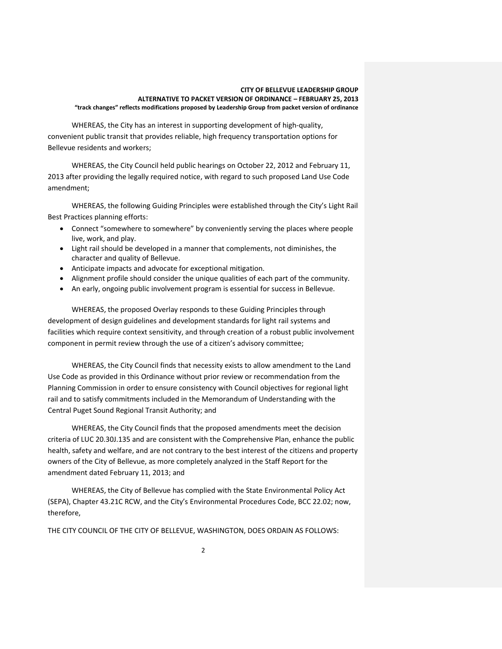WHEREAS, the City has an interest in supporting development of high-quality, convenient public transit that provides reliable, high frequency transportation options for Bellevue residents and workers;

WHEREAS, the City Council held public hearings on October 22, 2012 and February 11, 2013 after providing the legally required notice, with regard to such proposed Land Use Code amendment;

WHEREAS, the following Guiding Principles were established through the City's Light Rail Best Practices planning efforts:

- Connect "somewhere to somewhere" by conveniently serving the places where people live, work, and play.
- Light rail should be developed in a manner that complements, not diminishes, the character and quality of Bellevue.
- Anticipate impacts and advocate for exceptional mitigation.
- Alignment profile should consider the unique qualities of each part of the community.
- An early, ongoing public involvement program is essential for success in Bellevue.

WHEREAS, the proposed Overlay responds to these Guiding Principles through development of design guidelines and development standards for light rail systems and facilities which require context sensitivity, and through creation of a robust public involvement component in permit review through the use of a citizen's advisory committee;

WHEREAS, the City Council finds that necessity exists to allow amendment to the Land Use Code as provided in this Ordinance without prior review or recommendation from the Planning Commission in order to ensure consistency with Council objectives for regional light rail and to satisfy commitments included in the Memorandum of Understanding with the Central Puget Sound Regional Transit Authority; and

WHEREAS, the City Council finds that the proposed amendments meet the decision criteria of LUC 20.30J.135 and are consistent with the Comprehensive Plan, enhance the public health, safety and welfare, and are not contrary to the best interest of the citizens and property owners of the City of Bellevue, as more completely analyzed in the Staff Report for the amendment dated February 11, 2013; and

WHEREAS, the City of Bellevue has complied with the State Environmental Policy Act (SEPA), Chapter 43.21C RCW, and the City's Environmental Procedures Code, BCC 22.02; now, therefore,

THE CITY COUNCIL OF THE CITY OF BELLEVUE, WASHINGTON, DOES ORDAIN AS FOLLOWS: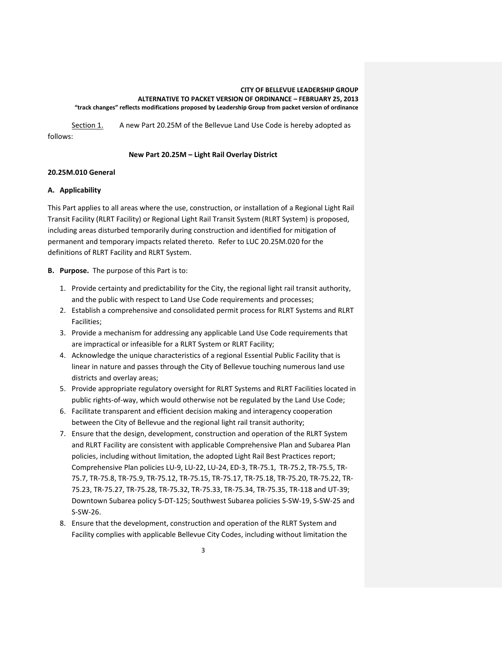Section 1. A new Part 20.25M of the Bellevue Land Use Code is hereby adopted as follows:

# **New Part 20.25M – Light Rail Overlay District**

# **20.25M.010 General**

# **A. Applicability**

This Part applies to all areas where the use, construction, or installation of a Regional Light Rail Transit Facility (RLRT Facility) or Regional Light Rail Transit System (RLRT System) is proposed, including areas disturbed temporarily during construction and identified for mitigation of permanent and temporary impacts related thereto. Refer to LUC 20.25M.020 for the definitions of RLRT Facility and RLRT System.

**B. Purpose.** The purpose of this Part is to:

- 1. Provide certainty and predictability for the City, the regional light rail transit authority, and the public with respect to Land Use Code requirements and processes;
- 2. Establish a comprehensive and consolidated permit process for RLRT Systems and RLRT Facilities;
- 3. Provide a mechanism for addressing any applicable Land Use Code requirements that are impractical or infeasible for a RLRT System or RLRT Facility;
- 4. Acknowledge the unique characteristics of a regional Essential Public Facility that is linear in nature and passes through the City of Bellevue touching numerous land use districts and overlay areas;
- 5. Provide appropriate regulatory oversight for RLRT Systems and RLRT Facilities located in public rights-of-way, which would otherwise not be regulated by the Land Use Code;
- 6. Facilitate transparent and efficient decision making and interagency cooperation between the City of Bellevue and the regional light rail transit authority;
- 7. Ensure that the design, development, construction and operation of the RLRT System and RLRT Facility are consistent with applicable Comprehensive Plan and Subarea Plan policies, including without limitation, the adopted Light Rail Best Practices report; Comprehensive Plan policies LU-9, LU-22, LU-24, ED-3, TR-75.1, TR-75.2, TR-75.5, TR-75.7, TR-75.8, TR-75.9, TR-75.12, TR-75.15, TR-75.17, TR-75.18, TR-75.20, TR-75.22, TR-75.23, TR-75.27, TR-75.28, TR-75.32, TR-75.33, TR-75.34, TR-75.35, TR-118 and UT-39; Downtown Subarea policy S-DT-125; Southwest Subarea policies S-SW-19, S-SW-25 and S-SW-26.
- 8. Ensure that the development, construction and operation of the RLRT System and Facility complies with applicable Bellevue City Codes, including without limitation the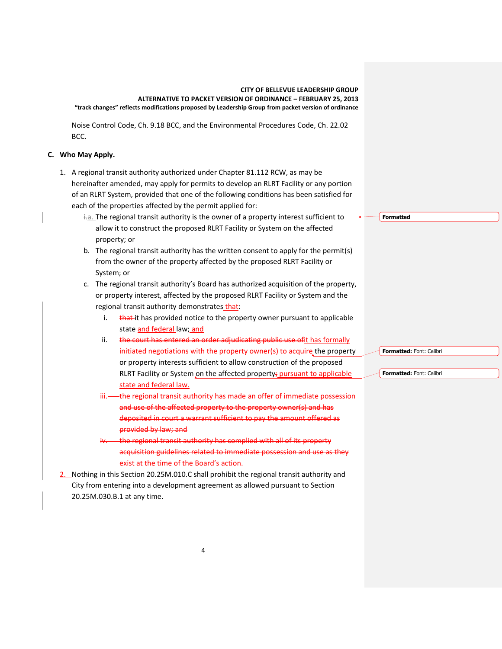Noise Control Code, Ch. 9.18 BCC, and the Environmental Procedures Code, Ch. 22.02 BCC.

# **C. Who May Apply.**

- 1. A regional transit authority authorized under Chapter 81.112 RCW, as may be hereinafter amended, may apply for permits to develop an RLRT Facility or any portion of an RLRT System, provided that one of the following conditions has been satisfied for each of the properties affected by the permit applied for:
	- $\dot{a}$ . The regional transit authority is the owner of a property interest sufficient to allow it to construct the proposed RLRT Facility or System on the affected property; or
	- b. The regional transit authority has the written consent to apply for the permit(s) from the owner of the property affected by the proposed RLRT Facility or System; or
	- c. The regional transit authority's Board has authorized acquisition of the property, or property interest, affected by the proposed RLRT Facility or System and the regional transit authority demonstrates that:
		- i.  $\frac{1}{2}$  that it has provided notice to the property owner pursuant to applicable state and federal law; and
		- ii. the court has entered an order adjudicating public use ofit has formally initiated negotiations with the property owner(s) to acquire the property or property interests sufficient to allow construction of the proposed RLRT Facility or System on the affected property; pursuant to applicable state and federal law.
		- the regional transit authority has made an offer of immediate possession and use of the affected property to the property owner(s) and has deposited in court a warrant sufficient to pay the amount offered as provided by law; and
		- the regional transit authority has complied with all of its property acquisition guidelines related to immediate possession and use as they exist at the time of the Board's action.
- 2. Nothing in this Section 20.25M.010.C shall prohibit the regional transit authority and City from entering into a development agreement as allowed pursuant to Section 20.25M.030.B.1 at any time.

**Formatted**

**Formatted:** Font: Calibri

**Formatted:** Font: Calibri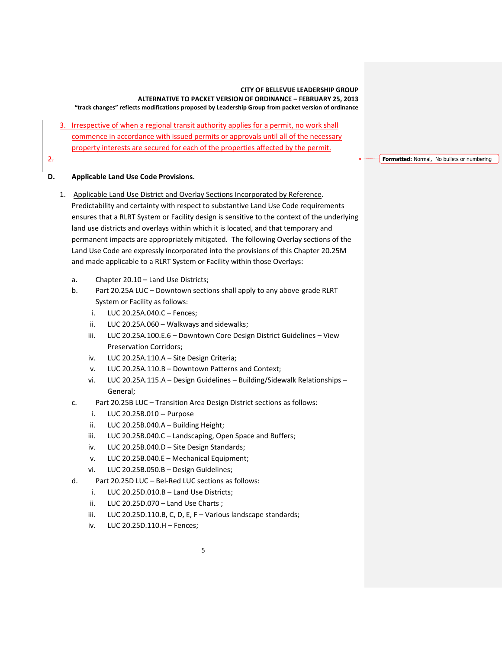- 3. Irrespective of when a regional transit authority applies for a permit, no work shall commence in accordance with issued permits or approvals until all of the necessary property interests are secured for each of the properties affected by the permit.
- 2.

# **D. Applicable Land Use Code Provisions.**

- 1. Applicable Land Use District and Overlay Sections Incorporated by Reference. Predictability and certainty with respect to substantive Land Use Code requirements ensures that a RLRT System or Facility design is sensitive to the context of the underlying land use districts and overlays within which it is located, and that temporary and permanent impacts are appropriately mitigated. The following Overlay sections of the Land Use Code are expressly incorporated into the provisions of this Chapter 20.25M and made applicable to a RLRT System or Facility within those Overlays:
	- a. Chapter 20.10 Land Use Districts;
	- b. Part 20.25A LUC Downtown sections shall apply to any above-grade RLRT System or Facility as follows:
		- i. LUC 20.25A.040.C Fences;
		- ii. LUC 20.25A.060 Walkways and sidewalks;
		- iii. LUC 20.25A.100.E.6 Downtown Core Design District Guidelines View Preservation Corridors;
		- iv. LUC 20.25A.110.A Site Design Criteria;
		- v. LUC 20.25A.110.B Downtown Patterns and Context;
		- vi. LUC 20.25A.115.A Design Guidelines Building/Sidewalk Relationships General;
	- c. Part 20.25B LUC Transition Area Design District sections as follows:
		- i. LUC 20.25B.010 -- Purpose
		- ii. LUC 20.25B.040.A Building Height;
		- iii. LUC 20.25B.040.C Landscaping, Open Space and Buffers;
		- iv. LUC 20.25B.040.D Site Design Standards;
		- v. LUC 20.25B.040.E Mechanical Equipment;
		- vi. LUC 20.25B.050.B Design Guidelines;
	- d. Part 20.25D LUC Bel-Red LUC sections as follows:
		- i. LUC 20.25D.010.B Land Use Districts;
		- ii. LUC 20.25D.070 Land Use Charts ;
		- iii. LUC 20.25D.110.B, C, D, E, F Various landscape standards;
		- iv. LUC 20.25D.110.H Fences;

**Formatted:** Normal, No bullets or numbering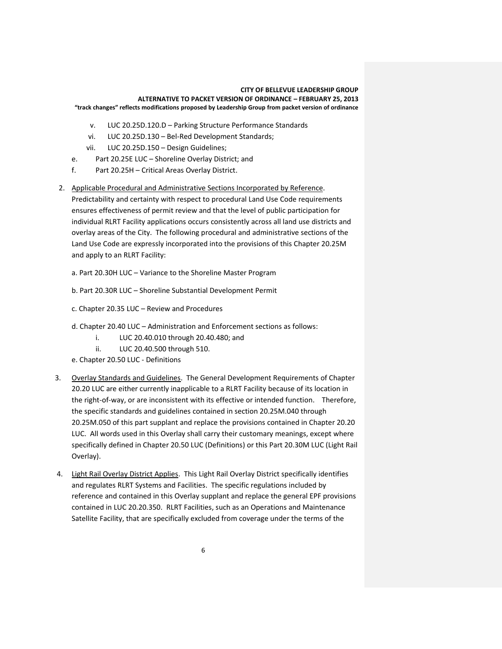- v. LUC 20.25D.120.D Parking Structure Performance Standards
- vi. LUC 20.25D.130 Bel-Red Development Standards;
- vii. LUC 20.25D.150 Design Guidelines;
- e. Part 20.25E LUC Shoreline Overlay District; and
- f. Part 20.25H Critical Areas Overlay District.

2. Applicable Procedural and Administrative Sections Incorporated by Reference. Predictability and certainty with respect to procedural Land Use Code requirements ensures effectiveness of permit review and that the level of public participation for individual RLRT Facility applications occurs consistently across all land use districts and overlay areas of the City. The following procedural and administrative sections of the Land Use Code are expressly incorporated into the provisions of this Chapter 20.25M and apply to an RLRT Facility:

- a. Part 20.30H LUC Variance to the Shoreline Master Program
- b. Part 20.30R LUC Shoreline Substantial Development Permit
- c. Chapter 20.35 LUC Review and Procedures
- d. Chapter 20.40 LUC Administration and Enforcement sections as follows:
	- i. LUC 20.40.010 through 20.40.480; and
	- ii. LUC 20.40.500 through 510.
- e. Chapter 20.50 LUC Definitions
- 3. Overlay Standards and Guidelines. The General Development Requirements of Chapter 20.20 LUC are either currently inapplicable to a RLRT Facility because of its location in the right-of-way, or are inconsistent with its effective or intended function. Therefore, the specific standards and guidelines contained in section 20.25M.040 through 20.25M.050 of this part supplant and replace the provisions contained in Chapter 20.20 LUC. All words used in this Overlay shall carry their customary meanings, except where specifically defined in Chapter 20.50 LUC (Definitions) or this Part 20.30M LUC (Light Rail Overlay).
- 4. Light Rail Overlay District Applies. This Light Rail Overlay District specifically identifies and regulates RLRT Systems and Facilities. The specific regulations included by reference and contained in this Overlay supplant and replace the general EPF provisions contained in LUC 20.20.350. RLRT Facilities, such as an Operations and Maintenance Satellite Facility, that are specifically excluded from coverage under the terms of the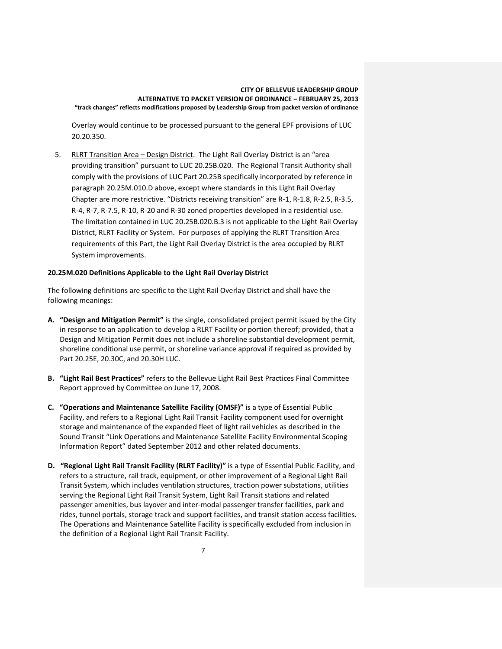Overlay would continue to be processed pursuant to the general EPF provisions of LUC 20.20.350.

5. RLRT Transition Area - Design District. The Light Rail Overlay District is an "area providing transition" pursuant to LUC 20.25B.020. The Regional Transit Authority shall comply with the provisions of LUC Part 20.25B specifically incorporated by reference in paragraph 20.25M.010.D above, except where standards in this Light Rail Overlay Chapter are more restrictive. "Districts receiving transition" are R-1, R-1.8, R-2.5, R-3.5, R-4, R-7, R-7.5, R-10, R-20 and R-30 zoned properties developed in a residential use. The limitation contained in LUC 20.25B.020.B.3 is not applicable to the Light Rail Overlay District, RLRT Facility or System. For purposes of applying the RLRT Transition Area requirements of this Part, the Light Rail Overlay District is the area occupied by RLRT System improvements.

### **20.25M.020 Definitions Applicable to the Light Rail Overlay District**

The following definitions are specific to the Light Rail Overlay District and shall have the following meanings:

- **A. "Design and Mitigation Permit"** is the single, consolidated project permit issued by the City in response to an application to develop a RLRT Facility or portion thereof; provided, that a Design and Mitigation Permit does not include a shoreline substantial development permit, shoreline conditional use permit, or shoreline variance approval if required as provided by Part 20.25E, 20.30C, and 20.30H LUC.
- **B. "Light Rail Best Practices"** refers to the Bellevue Light Rail Best Practices Final Committee Report approved by Committee on June 17, 2008.
- **C. "Operations and Maintenance Satellite Facility (OMSF)"** is a type of Essential Public Facility, and refers to a Regional Light Rail Transit Facility component used for overnight storage and maintenance of the expanded fleet of light rail vehicles as described in the Sound Transit "Link Operations and Maintenance Satellite Facility Environmental Scoping Information Report" dated September 2012 and other related documents.
- **D. "Regional Light Rail Transit Facility (RLRT Facility)"** is a type of Essential Public Facility, and refers to a structure, rail track, equipment, or other improvement of a Regional Light Rail Transit System, which includes ventilation structures, traction power substations, utilities serving the Regional Light Rail Transit System, Light Rail Transit stations and related passenger amenities, bus layover and inter-modal passenger transfer facilities, park and rides, tunnel portals, storage track and support facilities, and transit station access facilities. The Operations and Maintenance Satellite Facility is specifically excluded from inclusion in the definition of a Regional Light Rail Transit Facility.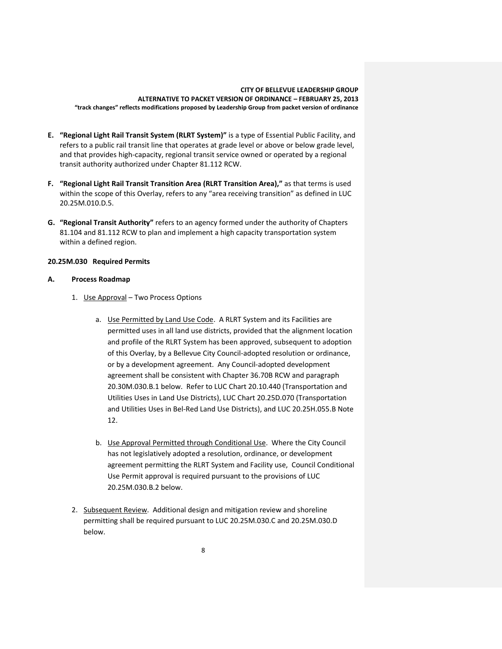- **E. "Regional Light Rail Transit System (RLRT System)"** is a type of Essential Public Facility, and refers to a public rail transit line that operates at grade level or above or below grade level, and that provides high-capacity, regional transit service owned or operated by a regional transit authority authorized under Chapter 81.112 RCW.
- **F. "Regional Light Rail Transit Transition Area (RLRT Transition Area),"** as that terms is used within the scope of this Overlay, refers to any "area receiving transition" as defined in LUC 20.25M.010.D.5.
- **G. "Regional Transit Authority"** refers to an agency formed under the authority of Chapters 81.104 and 81.112 RCW to plan and implement a high capacity transportation system within a defined region.

# **20.25M.030 Required Permits**

### **A. Process Roadmap**

- 1. Use Approval Two Process Options
	- a. Use Permitted by Land Use Code. A RLRT System and its Facilities are permitted uses in all land use districts, provided that the alignment location and profile of the RLRT System has been approved, subsequent to adoption of this Overlay, by a Bellevue City Council-adopted resolution or ordinance, or by a development agreement. Any Council-adopted development agreement shall be consistent with Chapter 36.70B RCW and paragraph 20.30M.030.B.1 below. Refer to LUC Chart 20.10.440 (Transportation and Utilities Uses in Land Use Districts), LUC Chart 20.25D.070 (Transportation and Utilities Uses in Bel-Red Land Use Districts), and LUC 20.25H.055.B Note 12.
	- b. Use Approval Permitted through Conditional Use. Where the City Council has not legislatively adopted a resolution, ordinance, or development agreement permitting the RLRT System and Facility use, Council Conditional Use Permit approval is required pursuant to the provisions of LUC 20.25M.030.B.2 below.
- 2. Subsequent Review. Additional design and mitigation review and shoreline permitting shall be required pursuant to LUC 20.25M.030.C and 20.25M.030.D below.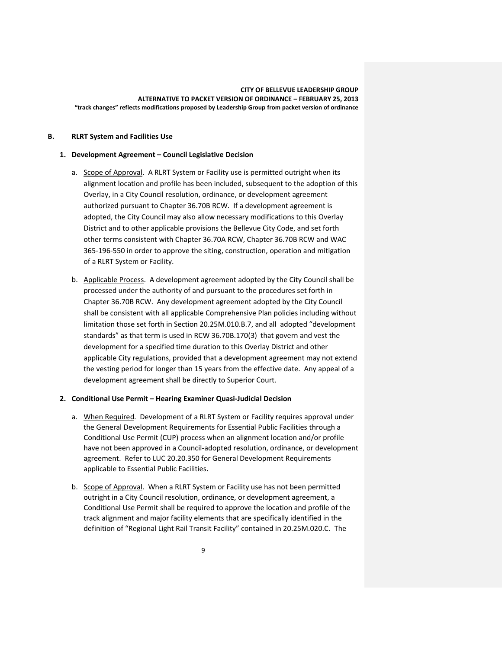### **B. RLRT System and Facilities Use**

### **1. Development Agreement – Council Legislative Decision**

- a. Scope of Approval. A RLRT System or Facility use is permitted outright when its alignment location and profile has been included, subsequent to the adoption of this Overlay, in a City Council resolution, ordinance, or development agreement authorized pursuant to Chapter 36.70B RCW. If a development agreement is adopted, the City Council may also allow necessary modifications to this Overlay District and to other applicable provisions the Bellevue City Code, and set forth other terms consistent with Chapter 36.70A RCW, Chapter 36.70B RCW and WAC 365-196-550 in order to approve the siting, construction, operation and mitigation of a RLRT System or Facility.
- b. Applicable Process. A development agreement adopted by the City Council shall be processed under the authority of and pursuant to the procedures set forth in Chapter 36.70B RCW. Any development agreement adopted by the City Council shall be consistent with all applicable Comprehensive Plan policies including without limitation those set forth in Section 20.25M.010.B.7, and all adopted "development standards" as that term is used in RCW 36.70B.170(3) that govern and vest the development for a specified time duration to this Overlay District and other applicable City regulations, provided that a development agreement may not extend the vesting period for longer than 15 years from the effective date. Any appeal of a development agreement shall be directly to Superior Court.

# **2. Conditional Use Permit – Hearing Examiner Quasi-Judicial Decision**

- a. When Required. Development of a RLRT System or Facility requires approval under the General Development Requirements for Essential Public Facilities through a Conditional Use Permit (CUP) process when an alignment location and/or profile have not been approved in a Council-adopted resolution, ordinance, or development agreement. Refer to LUC 20.20.350 for General Development Requirements applicable to Essential Public Facilities.
- b. Scope of Approval. When a RLRT System or Facility use has not been permitted outright in a City Council resolution, ordinance, or development agreement, a Conditional Use Permit shall be required to approve the location and profile of the track alignment and major facility elements that are specifically identified in the definition of "Regional Light Rail Transit Facility" contained in 20.25M.020.C. The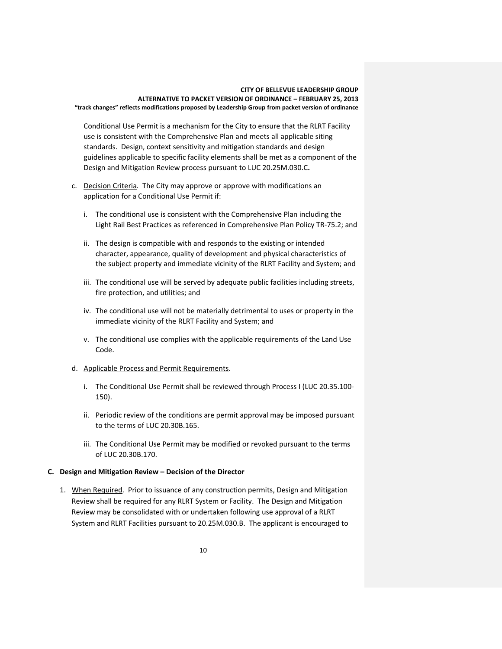Conditional Use Permit is a mechanism for the City to ensure that the RLRT Facility use is consistent with the Comprehensive Plan and meets all applicable siting standards. Design, context sensitivity and mitigation standards and design guidelines applicable to specific facility elements shall be met as a component of the Design and Mitigation Review process pursuant to LUC 20.25M.030.C**.**

- c. Decision Criteria. The City may approve or approve with modifications an application for a Conditional Use Permit if:
	- i. The conditional use is consistent with the Comprehensive Plan including the Light Rail Best Practices as referenced in Comprehensive Plan Policy TR-75.2; and
	- ii. The design is compatible with and responds to the existing or intended character, appearance, quality of development and physical characteristics of the subject property and immediate vicinity of the RLRT Facility and System; and
	- iii. The conditional use will be served by adequate public facilities including streets, fire protection, and utilities; and
	- iv. The conditional use will not be materially detrimental to uses or property in the immediate vicinity of the RLRT Facility and System; and
	- v. The conditional use complies with the applicable requirements of the Land Use Code.
- d. Applicable Process and Permit Requirements.
	- i. The Conditional Use Permit shall be reviewed through Process I (LUC 20.35.100- 150).
	- ii. Periodic review of the conditions are permit approval may be imposed pursuant to the terms of LUC 20.30B.165.
	- iii. The Conditional Use Permit may be modified or revoked pursuant to the terms of LUC 20.30B.170.

# **C. Design and Mitigation Review – Decision of the Director**

1. When Required. Prior to issuance of any construction permits, Design and Mitigation Review shall be required for any RLRT System or Facility. The Design and Mitigation Review may be consolidated with or undertaken following use approval of a RLRT System and RLRT Facilities pursuant to 20.25M.030.B. The applicant is encouraged to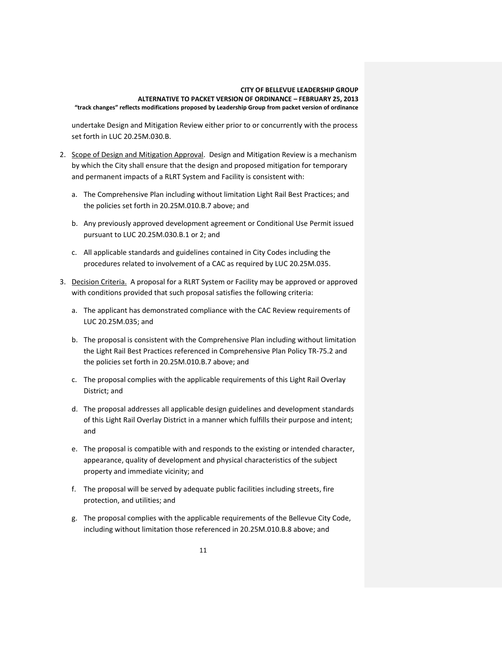undertake Design and Mitigation Review either prior to or concurrently with the process set forth in LUC 20.25M.030.B.

- 2. Scope of Design and Mitigation Approval. Design and Mitigation Review is a mechanism by which the City shall ensure that the design and proposed mitigation for temporary and permanent impacts of a RLRT System and Facility is consistent with:
	- a. The Comprehensive Plan including without limitation Light Rail Best Practices; and the policies set forth in 20.25M.010.B.7 above; and
	- b. Any previously approved development agreement or Conditional Use Permit issued pursuant to LUC 20.25M.030.B.1 or 2; and
	- c. All applicable standards and guidelines contained in City Codes including the procedures related to involvement of a CAC as required by LUC 20.25M.035.
- 3. Decision Criteria. A proposal for a RLRT System or Facility may be approved or approved with conditions provided that such proposal satisfies the following criteria:
	- a. The applicant has demonstrated compliance with the CAC Review requirements of LUC 20.25M.035; and
	- b. The proposal is consistent with the Comprehensive Plan including without limitation the Light Rail Best Practices referenced in Comprehensive Plan Policy TR-75.2 and the policies set forth in 20.25M.010.B.7 above; and
	- c. The proposal complies with the applicable requirements of this Light Rail Overlay District; and
	- d. The proposal addresses all applicable design guidelines and development standards of this Light Rail Overlay District in a manner which fulfills their purpose and intent; and
	- e. The proposal is compatible with and responds to the existing or intended character, appearance, quality of development and physical characteristics of the subject property and immediate vicinity; and
	- f. The proposal will be served by adequate public facilities including streets, fire protection, and utilities; and
	- g. The proposal complies with the applicable requirements of the Bellevue City Code, including without limitation those referenced in 20.25M.010.B.8 above; and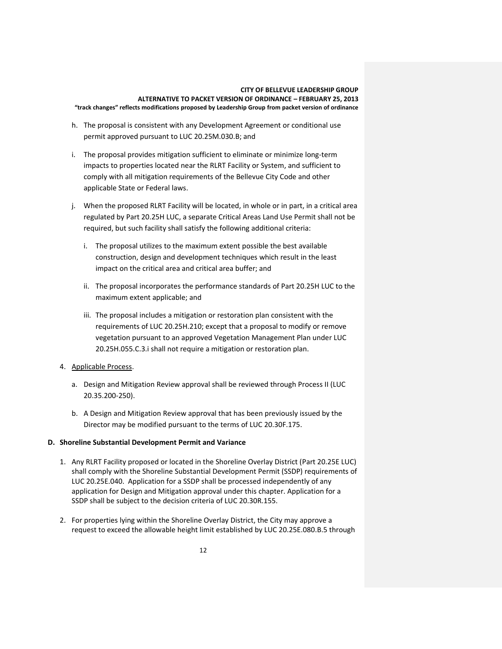- h. The proposal is consistent with any Development Agreement or conditional use permit approved pursuant to LUC 20.25M.030.B; and
- i. The proposal provides mitigation sufficient to eliminate or minimize long-term impacts to properties located near the RLRT Facility or System, and sufficient to comply with all mitigation requirements of the Bellevue City Code and other applicable State or Federal laws.
- j. When the proposed RLRT Facility will be located, in whole or in part, in a critical area regulated by Part 20.25H LUC, a separate Critical Areas Land Use Permit shall not be required, but such facility shall satisfy the following additional criteria:
	- i. The proposal utilizes to the maximum extent possible the best available construction, design and development techniques which result in the least impact on the critical area and critical area buffer; and
	- ii. The proposal incorporates the performance standards of Part 20.25H LUC to the maximum extent applicable; and
	- iii. The proposal includes a mitigation or restoration plan consistent with the requirements of LUC 20.25H.210; except that a proposal to modify or remove vegetation pursuant to an approved Vegetation Management Plan under LUC 20.25H.055.C.3.i shall not require a mitigation or restoration plan.
- 4. Applicable Process.
	- a. Design and Mitigation Review approval shall be reviewed through Process II (LUC 20.35.200-250).
	- b. A Design and Mitigation Review approval that has been previously issued by the Director may be modified pursuant to the terms of LUC 20.30F.175.

# **D. Shoreline Substantial Development Permit and Variance**

- 1. Any RLRT Facility proposed or located in the Shoreline Overlay District (Part 20.25E LUC) shall comply with the Shoreline Substantial Development Permit (SSDP) requirements of LUC 20.25E.040. Application for a SSDP shall be processed independently of any application for Design and Mitigation approval under this chapter. Application for a SSDP shall be subject to the decision criteria of LUC 20.30R.155.
- 2. For properties lying within the Shoreline Overlay District, the City may approve a request to exceed the allowable height limit established by LUC 20.25E.080.B.5 through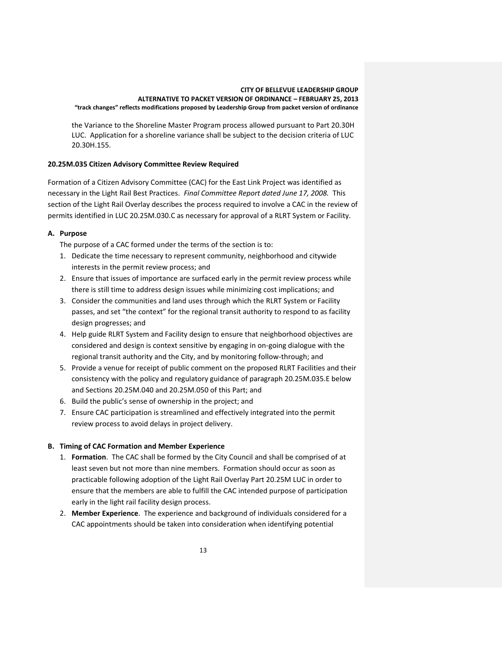the Variance to the Shoreline Master Program process allowed pursuant to Part 20.30H LUC. Application for a shoreline variance shall be subject to the decision criteria of LUC 20.30H.155.

# **20.25M.035 Citizen Advisory Committee Review Required**

Formation of a Citizen Advisory Committee (CAC) for the East Link Project was identified as necessary in the Light Rail Best Practices. *Final Committee Report dated June 17, 2008.* This section of the Light Rail Overlay describes the process required to involve a CAC in the review of permits identified in LUC 20.25M.030.C as necessary for approval of a RLRT System or Facility.

# **A. Purpose**

The purpose of a CAC formed under the terms of the section is to:

- 1. Dedicate the time necessary to represent community, neighborhood and citywide interests in the permit review process; and
- 2. Ensure that issues of importance are surfaced early in the permit review process while there is still time to address design issues while minimizing cost implications; and
- 3. Consider the communities and land uses through which the RLRT System or Facility passes, and set "the context" for the regional transit authority to respond to as facility design progresses; and
- 4. Help guide RLRT System and Facility design to ensure that neighborhood objectives are considered and design is context sensitive by engaging in on-going dialogue with the regional transit authority and the City, and by monitoring follow-through; and
- 5. Provide a venue for receipt of public comment on the proposed RLRT Facilities and their consistency with the policy and regulatory guidance of paragraph 20.25M.035.E below and Sections 20.25M.040 and 20.25M.050 of this Part; and
- 6. Build the public's sense of ownership in the project; and
- 7. Ensure CAC participation is streamlined and effectively integrated into the permit review process to avoid delays in project delivery.

# **B. Timing of CAC Formation and Member Experience**

- 1. **Formation**. The CAC shall be formed by the City Council and shall be comprised of at least seven but not more than nine members. Formation should occur as soon as practicable following adoption of the Light Rail Overlay Part 20.25M LUC in order to ensure that the members are able to fulfill the CAC intended purpose of participation early in the light rail facility design process.
- 2. **Member Experience**. The experience and background of individuals considered for a CAC appointments should be taken into consideration when identifying potential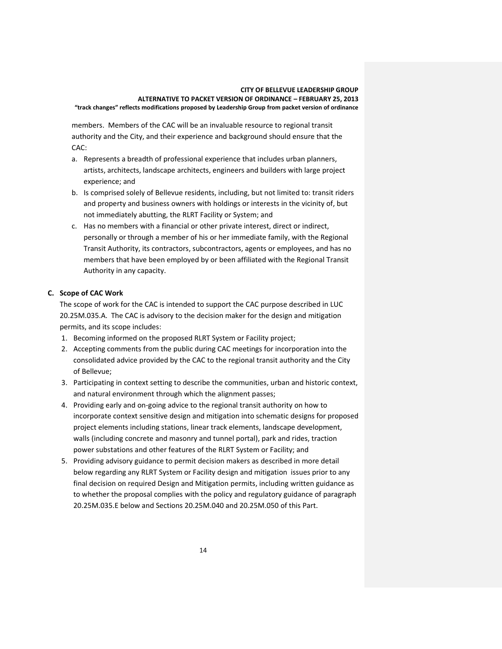members. Members of the CAC will be an invaluable resource to regional transit authority and the City, and their experience and background should ensure that the CAC:

- a. Represents a breadth of professional experience that includes urban planners, artists, architects, landscape architects, engineers and builders with large project experience; and
- b. Is comprised solely of Bellevue residents, including, but not limited to: transit riders and property and business owners with holdings or interests in the vicinity of, but not immediately abutting, the RLRT Facility or System; and
- c. Has no members with a financial or other private interest, direct or indirect, personally or through a member of his or her immediate family, with the Regional Transit Authority, its contractors, subcontractors, agents or employees, and has no members that have been employed by or been affiliated with the Regional Transit Authority in any capacity.

# **C. Scope of CAC Work**

The scope of work for the CAC is intended to support the CAC purpose described in LUC 20.25M.035.A. The CAC is advisory to the decision maker for the design and mitigation permits, and its scope includes:

- 1. Becoming informed on the proposed RLRT System or Facility project;
- 2. Accepting comments from the public during CAC meetings for incorporation into the consolidated advice provided by the CAC to the regional transit authority and the City of Bellevue;
- 3. Participating in context setting to describe the communities, urban and historic context, and natural environment through which the alignment passes;
- 4. Providing early and on-going advice to the regional transit authority on how to incorporate context sensitive design and mitigation into schematic designs for proposed project elements including stations, linear track elements, landscape development, walls (including concrete and masonry and tunnel portal), park and rides, traction power substations and other features of the RLRT System or Facility; and
- 5. Providing advisory guidance to permit decision makers as described in more detail below regarding any RLRT System or Facility design and mitigation issues prior to any final decision on required Design and Mitigation permits, including written guidance as to whether the proposal complies with the policy and regulatory guidance of paragraph 20.25M.035.E below and Sections 20.25M.040 and 20.25M.050 of this Part.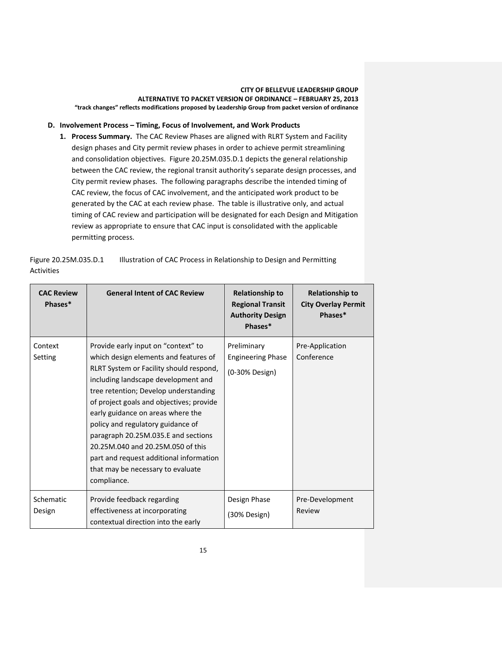# **D. Involvement Process – Timing, Focus of Involvement, and Work Products**

**1. Process Summary.** The CAC Review Phases are aligned with RLRT System and Facility design phases and City permit review phases in order to achieve permit streamlining and consolidation objectives. Figure 20.25M.035.D.1 depicts the general relationship between the CAC review, the regional transit authority's separate design processes, and City permit review phases. The following paragraphs describe the intended timing of CAC review, the focus of CAC involvement, and the anticipated work product to be generated by the CAC at each review phase. The table is illustrative only, and actual timing of CAC review and participation will be designated for each Design and Mitigation review as appropriate to ensure that CAC input is consolidated with the applicable permitting process.

Figure 20.25M.035.D.1 Illustration of CAC Process in Relationship to Design and Permitting Activities

| <b>CAC Review</b><br>Phases* | <b>General Intent of CAC Review</b>                                                                                                                                                                                                                                                                                                                                                                                                                                                                      | <b>Relationship to</b><br><b>Regional Transit</b><br><b>Authority Design</b><br>Phases* | <b>Relationship to</b><br><b>City Overlay Permit</b><br>Phases* |
|------------------------------|----------------------------------------------------------------------------------------------------------------------------------------------------------------------------------------------------------------------------------------------------------------------------------------------------------------------------------------------------------------------------------------------------------------------------------------------------------------------------------------------------------|-----------------------------------------------------------------------------------------|-----------------------------------------------------------------|
| Context<br>Setting           | Provide early input on "context" to<br>which design elements and features of<br>RLRT System or Facility should respond,<br>including landscape development and<br>tree retention; Develop understanding<br>of project goals and objectives; provide<br>early guidance on areas where the<br>policy and regulatory guidance of<br>paragraph 20.25M.035.E and sections<br>20.25M.040 and 20.25M.050 of this<br>part and request additional information<br>that may be necessary to evaluate<br>compliance. | Preliminary<br><b>Engineering Phase</b><br>(0-30% Design)                               | Pre-Application<br>Conference                                   |
| Schematic<br>Design          | Provide feedback regarding<br>effectiveness at incorporating<br>contextual direction into the early                                                                                                                                                                                                                                                                                                                                                                                                      | Design Phase<br>(30% Design)                                                            | Pre-Development<br>Review                                       |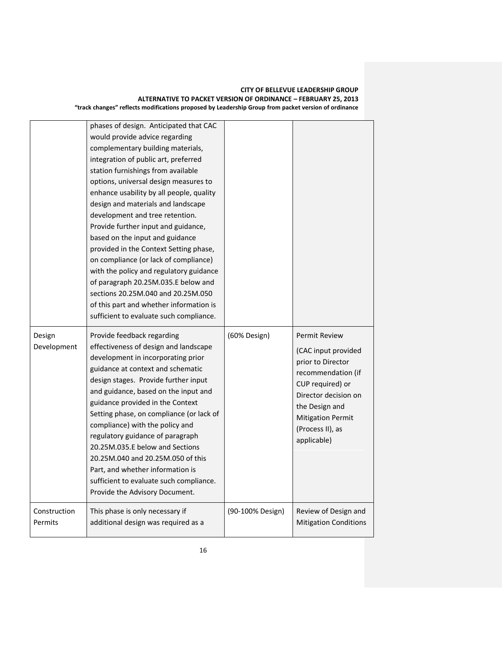|                         | phases of design. Anticipated that CAC<br>would provide advice regarding<br>complementary building materials,<br>integration of public art, preferred<br>station furnishings from available<br>options, universal design measures to<br>enhance usability by all people, quality<br>design and materials and landscape<br>development and tree retention.<br>Provide further input and guidance,<br>based on the input and guidance<br>provided in the Context Setting phase,<br>on compliance (or lack of compliance)<br>with the policy and regulatory guidance<br>of paragraph 20.25M.035.E below and<br>sections 20.25M.040 and 20.25M.050<br>of this part and whether information is<br>sufficient to evaluate such compliance. |                  |                                                                                                                                                                                                                     |
|-------------------------|--------------------------------------------------------------------------------------------------------------------------------------------------------------------------------------------------------------------------------------------------------------------------------------------------------------------------------------------------------------------------------------------------------------------------------------------------------------------------------------------------------------------------------------------------------------------------------------------------------------------------------------------------------------------------------------------------------------------------------------|------------------|---------------------------------------------------------------------------------------------------------------------------------------------------------------------------------------------------------------------|
| Design<br>Development   | Provide feedback regarding<br>effectiveness of design and landscape<br>development in incorporating prior<br>guidance at context and schematic<br>design stages. Provide further input<br>and guidance, based on the input and<br>guidance provided in the Context<br>Setting phase, on compliance (or lack of<br>compliance) with the policy and<br>regulatory guidance of paragraph<br>20.25M.035.E below and Sections<br>20.25M.040 and 20.25M.050 of this<br>Part, and whether information is<br>sufficient to evaluate such compliance.<br>Provide the Advisory Document.                                                                                                                                                       | (60% Design)     | <b>Permit Review</b><br>(CAC input provided<br>prior to Director<br>recommendation (if<br>CUP required) or<br>Director decision on<br>the Design and<br><b>Mitigation Permit</b><br>(Process II), as<br>applicable) |
| Construction<br>Permits | This phase is only necessary if                                                                                                                                                                                                                                                                                                                                                                                                                                                                                                                                                                                                                                                                                                      | (90-100% Design) | Review of Design and                                                                                                                                                                                                |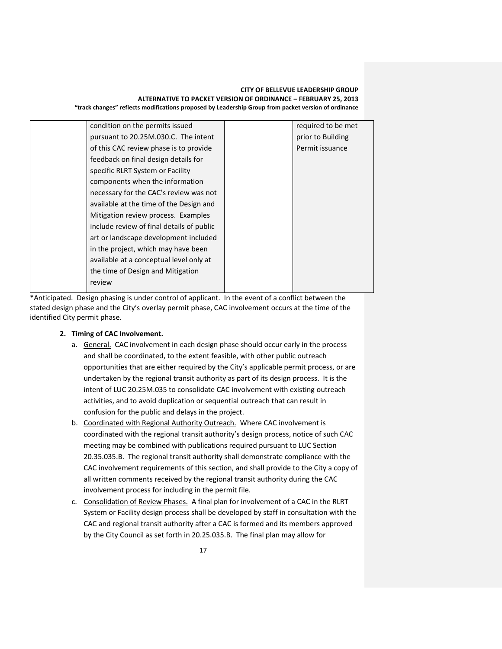| condition on the permits issued           | required to be met |
|-------------------------------------------|--------------------|
| pursuant to 20.25M.030.C. The intent      | prior to Building  |
| of this CAC review phase is to provide    | Permit issuance    |
| feedback on final design details for      |                    |
| specific RLRT System or Facility          |                    |
| components when the information           |                    |
| necessary for the CAC's review was not    |                    |
| available at the time of the Design and   |                    |
| Mitigation review process. Examples       |                    |
| include review of final details of public |                    |
| art or landscape development included     |                    |
| in the project, which may have been       |                    |
| available at a conceptual level only at   |                    |
| the time of Design and Mitigation         |                    |
| review                                    |                    |
|                                           |                    |

\*Anticipated. Design phasing is under control of applicant. In the event of a conflict between the stated design phase and the City's overlay permit phase, CAC involvement occurs at the time of the identified City permit phase.

- **2. Timing of CAC Involvement.** 
	- a. General.CAC involvement in each design phase should occur early in the process and shall be coordinated, to the extent feasible, with other public outreach opportunities that are either required by the City's applicable permit process, or are undertaken by the regional transit authority as part of its design process. It is the intent of LUC 20.25M.035 to consolidate CAC involvement with existing outreach activities, and to avoid duplication or sequential outreach that can result in confusion for the public and delays in the project.
	- b. Coordinated with Regional Authority Outreach. Where CAC involvement is coordinated with the regional transit authority's design process, notice of such CAC meeting may be combined with publications required pursuant to LUC Section 20.35.035.B. The regional transit authority shall demonstrate compliance with the CAC involvement requirements of this section, and shall provide to the City a copy of all written comments received by the regional transit authority during the CAC involvement process for including in the permit file.
	- c. Consolidation of Review Phases. A final plan for involvement of a CAC in the RLRT System or Facility design process shall be developed by staff in consultation with the CAC and regional transit authority after a CAC is formed and its members approved by the City Council as set forth in 20.25.035.B. The final plan may allow for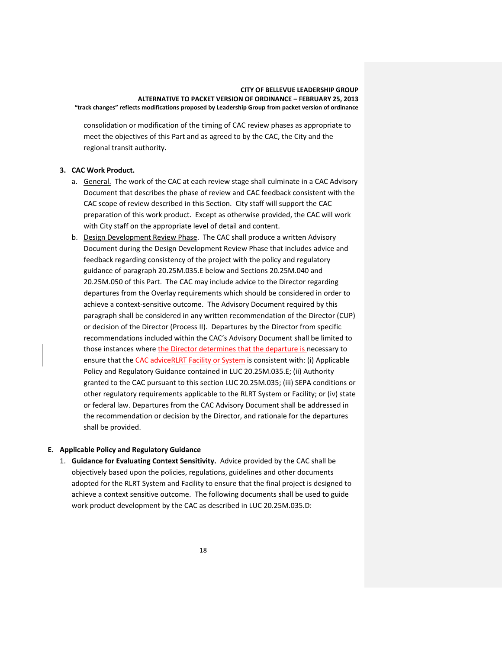consolidation or modification of the timing of CAC review phases as appropriate to meet the objectives of this Part and as agreed to by the CAC, the City and the regional transit authority.

### **3. CAC Work Product.**

- a. General. The work of the CAC at each review stage shall culminate in a CAC Advisory Document that describes the phase of review and CAC feedback consistent with the CAC scope of review described in this Section. City staff will support the CAC preparation of this work product. Except as otherwise provided, the CAC will work with City staff on the appropriate level of detail and content.
- b. Design Development Review Phase. The CAC shall produce a written Advisory Document during the Design Development Review Phase that includes advice and feedback regarding consistency of the project with the policy and regulatory guidance of paragraph 20.25M.035.E below and Sections 20.25M.040 and 20.25M.050 of this Part. The CAC may include advice to the Director regarding departures from the Overlay requirements which should be considered in order to achieve a context-sensitive outcome. The Advisory Document required by this paragraph shall be considered in any written recommendation of the Director (CUP) or decision of the Director (Process II). Departures by the Director from specific recommendations included within the CAC's Advisory Document shall be limited to those instances where the Director determines that the departure is necessary to ensure that the CAC adviceRLRT Facility or System is consistent with: (i) Applicable Policy and Regulatory Guidance contained in LUC 20.25M.035.E; (ii) Authority granted to the CAC pursuant to this section LUC 20.25M.035; (iii) SEPA conditions or other regulatory requirements applicable to the RLRT System or Facility; or (iv) state or federal law. Departures from the CAC Advisory Document shall be addressed in the recommendation or decision by the Director, and rationale for the departures shall be provided.

### **E. Applicable Policy and Regulatory Guidance**

1. **Guidance for Evaluating Context Sensitivity.** Advice provided by the CAC shall be objectively based upon the policies, regulations, guidelines and other documents adopted for the RLRT System and Facility to ensure that the final project is designed to achieve a context sensitive outcome. The following documents shall be used to guide work product development by the CAC as described in LUC 20.25M.035.D: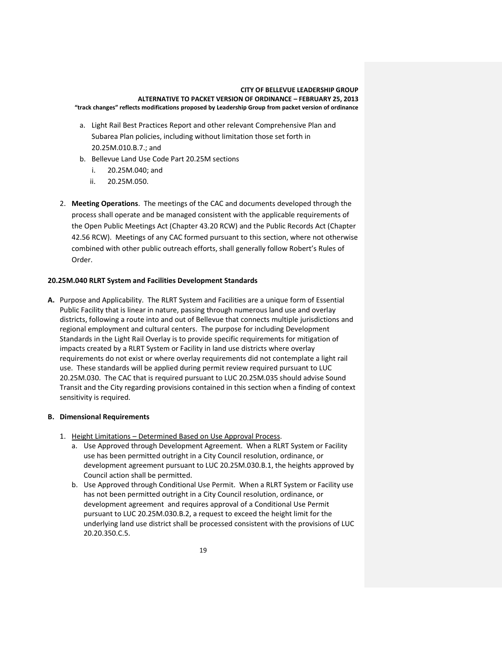- a. Light Rail Best Practices Report and other relevant Comprehensive Plan and Subarea Plan policies, including without limitation those set forth in 20.25M.010.B.7.; and
- b. Bellevue Land Use Code Part 20.25M sections
	- i. 20.25M.040; and
	- ii. 20.25M.050.
- 2. **Meeting Operations**. The meetings of the CAC and documents developed through the process shall operate and be managed consistent with the applicable requirements of the Open Public Meetings Act (Chapter 43.20 RCW) and the Public Records Act (Chapter 42.56 RCW). Meetings of any CAC formed pursuant to this section, where not otherwise combined with other public outreach efforts, shall generally follow Robert's Rules of Order.

# **20.25M.040 RLRT System and Facilities Development Standards**

**A.** Purpose and Applicability. The RLRT System and Facilities are a unique form of Essential Public Facility that is linear in nature, passing through numerous land use and overlay districts, following a route into and out of Bellevue that connects multiple jurisdictions and regional employment and cultural centers. The purpose for including Development Standards in the Light Rail Overlay is to provide specific requirements for mitigation of impacts created by a RLRT System or Facility in land use districts where overlay requirements do not exist or where overlay requirements did not contemplate a light rail use. These standards will be applied during permit review required pursuant to LUC 20.25M.030. The CAC that is required pursuant to LUC 20.25M.035 should advise Sound Transit and the City regarding provisions contained in this section when a finding of context sensitivity is required.

# **B. Dimensional Requirements**

- 1. Height Limitations Determined Based on Use Approval Process.
	- a. Use Approved through Development Agreement. When a RLRT System or Facility use has been permitted outright in a City Council resolution, ordinance, or development agreement pursuant to LUC 20.25M.030.B.1, the heights approved by Council action shall be permitted.
	- b. Use Approved through Conditional Use Permit. When a RLRT System or Facility use has not been permitted outright in a City Council resolution, ordinance, or development agreement and requires approval of a Conditional Use Permit pursuant to LUC 20.25M.030.B.2, a request to exceed the height limit for the underlying land use district shall be processed consistent with the provisions of LUC 20.20.350.C.5.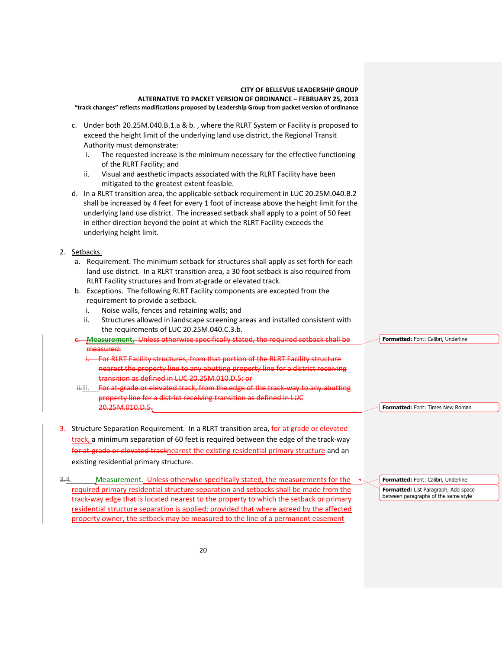- c. Under both 20.25M.040.B.1.a & b., where the RLRT System or Facility is proposed to exceed the height limit of the underlying land use district, the Regional Transit Authority must demonstrate:
	- i. The requested increase is the minimum necessary for the effective functioning of the RLRT Facility; and
	- ii. Visual and aesthetic impacts associated with the RLRT Facility have been mitigated to the greatest extent feasible.
- d. In a RLRT transition area, the applicable setback requirement in LUC 20.25M.040.B.2 shall be increased by 4 feet for every 1 foot of increase above the height limit for the underlying land use district. The increased setback shall apply to a point of 50 feet in either direction beyond the point at which the RLRT Facility exceeds the underlying height limit.
- 2. Setbacks.
	- a. Requirement. The minimum setback for structures shall apply as set forth for each land use district. In a RLRT transition area, a 30 foot setback is also required from RLRT Facility structures and from at-grade or elevated track.
	- b. Exceptions. The following RLRT Facility components are excepted from the requirement to provide a setback.
		- i. Noise walls, fences and retaining walls; and
		- ii. Structures allowed in landscape screening areas and installed consistent with the requirements of LUC 20.25M.040.C.3.b.
	- Measurement. Unless otherwise specifically stated, the required setback shall be measured: **Formatted:** Font: Calibri, Underline
		- For RLRT Facility structures, from that portion of the RLRT Facility structure nearest the property line to any abutting property line for a district receiving transition as defined in LUC 20.25M.010.D.5; or
	- ii.iii. For at-grade or elevated track, from the edge of the track-way to any abutting property line for a district receiving transition as defined in LUC 20.25M.010.D.5.
- Structure Separation Requirement. In a RLRT transition area, for at grade or elevated track, a minimum separation of 60 feet is required between the edge of the track-way for at-grade or elevated tracknearest the existing residential primary structure and an existing residential primary structure.
- $3.4.$  Measurement. Unless otherwise specifically stated, the measurements for the required primary residential structure separation and setbacks shall be made from the track-way edge that is located nearest to the property to which the setback or primary residential structure separation is applied; provided that where agreed by the affected property owner, the setback may be measured to the line of a permanent easement

**Formatted:** Font: Calibri, Underline **Formatted:** List Paragraph, Add space between paragraphs of the same style

**Formatted:** Font: Times New Roman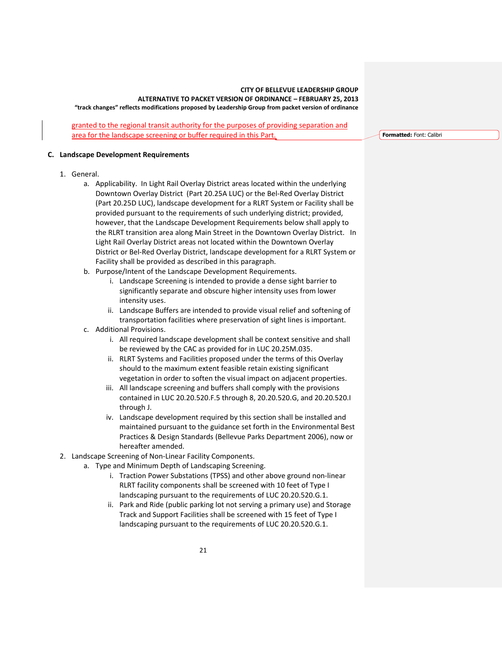granted to the regional transit authority for the purposes of providing separation and area for the landscape screening or buffer required in this Part.

**Formatted:** Font: Calibri

#### **C. Landscape Development Requirements**

- 1. General.
	- a. Applicability. In Light Rail Overlay District areas located within the underlying Downtown Overlay District (Part 20.25A LUC) or the Bel-Red Overlay District (Part 20.25D LUC), landscape development for a RLRT System or Facility shall be provided pursuant to the requirements of such underlying district; provided, however, that the Landscape Development Requirements below shall apply to the RLRT transition area along Main Street in the Downtown Overlay District. In Light Rail Overlay District areas not located within the Downtown Overlay District or Bel-Red Overlay District, landscape development for a RLRT System or Facility shall be provided as described in this paragraph.
	- b. Purpose/Intent of the Landscape Development Requirements.
		- i. Landscape Screening is intended to provide a dense sight barrier to significantly separate and obscure higher intensity uses from lower intensity uses.
		- ii. Landscape Buffers are intended to provide visual relief and softening of transportation facilities where preservation of sight lines is important.
	- c. Additional Provisions.
		- i. All required landscape development shall be context sensitive and shall be reviewed by the CAC as provided for in LUC 20.25M.035.
		- ii. RLRT Systems and Facilities proposed under the terms of this Overlay should to the maximum extent feasible retain existing significant vegetation in order to soften the visual impact on adjacent properties.
		- iii. All landscape screening and buffers shall comply with the provisions contained in LUC 20.20.520.F.5 through 8, 20.20.520.G, and 20.20.520.I through J.
		- iv. Landscape development required by this section shall be installed and maintained pursuant to the guidance set forth in the Environmental Best Practices & Design Standards (Bellevue Parks Department 2006), now or hereafter amended.
- 2. Landscape Screening of Non-Linear Facility Components.
	- a. Type and Minimum Depth of Landscaping Screening.
		- i. Traction Power Substations (TPSS) and other above ground non-linear RLRT facility components shall be screened with 10 feet of Type I landscaping pursuant to the requirements of LUC 20.20.520.G.1.
		- ii. Park and Ride (public parking lot not serving a primary use) and Storage Track and Support Facilities shall be screened with 15 feet of Type I landscaping pursuant to the requirements of LUC 20.20.520.G.1.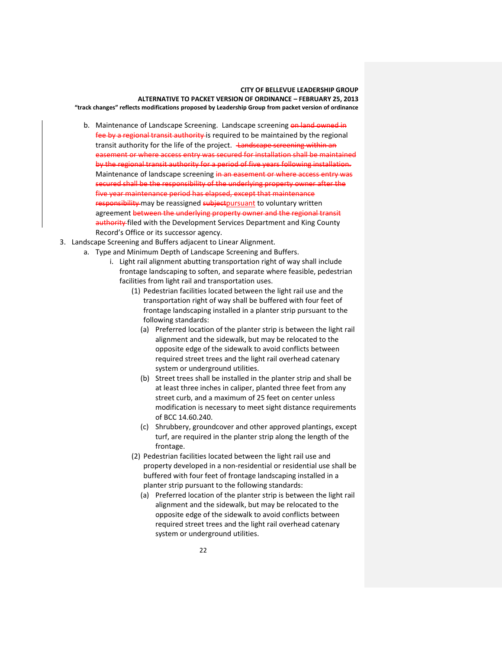- b. Maintenance of Landscape Screening. Landscape screening on land owned in fee by a regional transit authority is required to be maintained by the regional transit authority for the life of the project. Landscape screening within an easement or where access entry was secured for installation shall be maintained by the regional transit authority for a period of five years following installation. Maintenance of landscape screening in an easement or where access entry was secured shall be the responsibility of the underlying property owner after the five year maintenance period has elapsed, except that maintenance responsibility may be reassigned subject pursuant to voluntary written agreement between the underlying property owner and the regional transit authority filed with the Development Services Department and King County Record's Office or its successor agency.
- 3. Landscape Screening and Buffers adjacent to Linear Alignment.
	- a. Type and Minimum Depth of Landscape Screening and Buffers.
		- i. Light rail alignment abutting transportation right of way shall include frontage landscaping to soften, and separate where feasible, pedestrian facilities from light rail and transportation uses.
			- (1) Pedestrian facilities located between the light rail use and the transportation right of way shall be buffered with four feet of frontage landscaping installed in a planter strip pursuant to the following standards:
				- (a) Preferred location of the planter strip is between the light rail alignment and the sidewalk, but may be relocated to the opposite edge of the sidewalk to avoid conflicts between required street trees and the light rail overhead catenary system or underground utilities.
				- (b) Street trees shall be installed in the planter strip and shall be at least three inches in caliper, planted three feet from any street curb, and a maximum of 25 feet on center unless modification is necessary to meet sight distance requirements of BCC 14.60.240.
				- (c) Shrubbery, groundcover and other approved plantings, except turf, are required in the planter strip along the length of the frontage.
			- (2) Pedestrian facilities located between the light rail use and property developed in a non-residential or residential use shall be buffered with four feet of frontage landscaping installed in a planter strip pursuant to the following standards:
				- (a) Preferred location of the planter strip is between the light rail alignment and the sidewalk, but may be relocated to the opposite edge of the sidewalk to avoid conflicts between required street trees and the light rail overhead catenary system or underground utilities.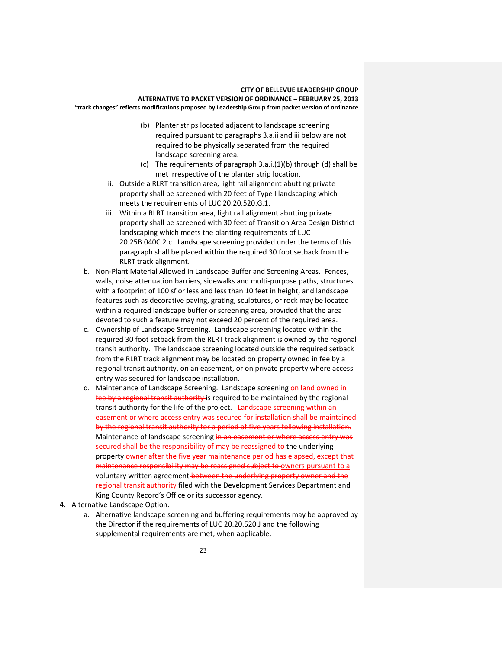- (b) Planter strips located adjacent to landscape screening required pursuant to paragraphs 3.a.ii and iii below are not required to be physically separated from the required landscape screening area.
- (c) The requirements of paragraph 3.a.i.(1)(b) through (d) shall be met irrespective of the planter strip location.
- ii. Outside a RLRT transition area, light rail alignment abutting private property shall be screened with 20 feet of Type I landscaping which meets the requirements of LUC 20.20.520.G.1.
- iii. Within a RLRT transition area, light rail alignment abutting private property shall be screened with 30 feet of Transition Area Design District landscaping which meets the planting requirements of LUC 20.25B.040C.2.c. Landscape screening provided under the terms of this paragraph shall be placed within the required 30 foot setback from the RLRT track alignment.
- b. Non-Plant Material Allowed in Landscape Buffer and Screening Areas. Fences, walls, noise attenuation barriers, sidewalks and multi-purpose paths, structures with a footprint of 100 sf or less and less than 10 feet in height, and landscape features such as decorative paving, grating, sculptures, or rock may be located within a required landscape buffer or screening area, provided that the area devoted to such a feature may not exceed 20 percent of the required area.
- c. Ownership of Landscape Screening. Landscape screening located within the required 30 foot setback from the RLRT track alignment is owned by the regional transit authority. The landscape screening located outside the required setback from the RLRT track alignment may be located on property owned in fee by a regional transit authority, on an easement, or on private property where access entry was secured for landscape installation.
- d. Maintenance of Landscape Screening. Landscape screening on land owned in fee by a regional transit authority is required to be maintained by the regional transit authority for the life of the project. Landscape screening within an easement or where access entry was secured for installation shall be maintained by the regional transit authority for a period of five years following installation. Maintenance of landscape screening in an easement or where access entry was secured shall be the responsibility of may be reassigned to the underlying property owner after the five year maintenance period has elapsed, except that maintenance responsibility may be reassigned subject to owners pursuant to a voluntary written agreement-between the underlying property owner and the regional transit authority filed with the Development Services Department and King County Record's Office or its successor agency.
- 4. Alternative Landscape Option.
	- a. Alternative landscape screening and buffering requirements may be approved by the Director if the requirements of LUC 20.20.520.J and the following supplemental requirements are met, when applicable.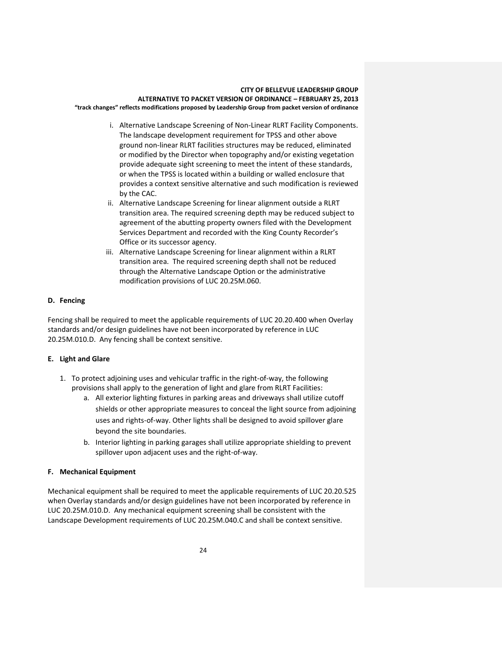- i. Alternative Landscape Screening of Non-Linear RLRT Facility Components. The landscape development requirement for TPSS and other above ground non-linear RLRT facilities structures may be reduced, eliminated or modified by the Director when topography and/or existing vegetation provide adequate sight screening to meet the intent of these standards, or when the TPSS is located within a building or walled enclosure that provides a context sensitive alternative and such modification is reviewed by the CAC.
- ii. Alternative Landscape Screening for linear alignment outside a RLRT transition area. The required screening depth may be reduced subject to agreement of the abutting property owners filed with the Development Services Department and recorded with the King County Recorder's Office or its successor agency.
- iii. Alternative Landscape Screening for linear alignment within a RLRT transition area. The required screening depth shall not be reduced through the Alternative Landscape Option or the administrative modification provisions of LUC 20.25M.060.

# **D. Fencing**

Fencing shall be required to meet the applicable requirements of LUC 20.20.400 when Overlay standards and/or design guidelines have not been incorporated by reference in LUC 20.25M.010.D. Any fencing shall be context sensitive.

# **E. Light and Glare**

- 1. To protect adjoining uses and vehicular traffic in the right-of-way, the following provisions shall apply to the generation of light and glare from RLRT Facilities:
	- a. All exterior lighting fixtures in parking areas and driveways shall utilize cutoff shields or other appropriate measures to conceal the light source from adjoining uses and rights-of-way. Other lights shall be designed to avoid spillover glare beyond the site boundaries.
	- b. Interior lighting in parking garages shall utilize appropriate shielding to prevent spillover upon adjacent uses and the right-of-way.

# **F. Mechanical Equipment**

Mechanical equipment shall be required to meet the applicable requirements of LUC 20.20.525 when Overlay standards and/or design guidelines have not been incorporated by reference in LUC 20.25M.010.D. Any mechanical equipment screening shall be consistent with the Landscape Development requirements of LUC 20.25M.040.C and shall be context sensitive.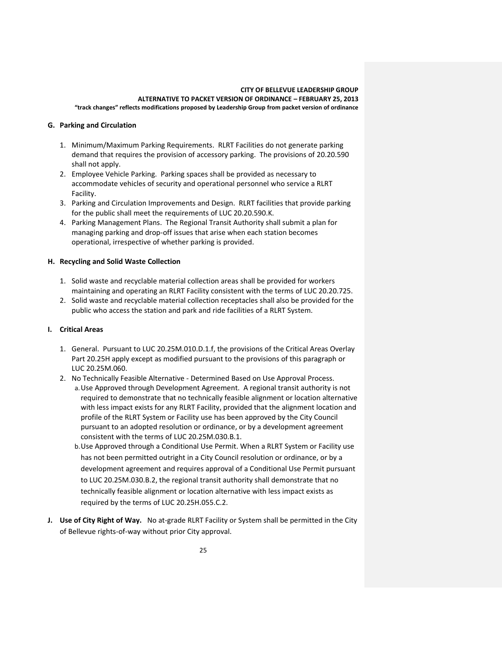### **G. Parking and Circulation**

- 1. Minimum/Maximum Parking Requirements. RLRT Facilities do not generate parking demand that requires the provision of accessory parking. The provisions of 20.20.590 shall not apply.
- 2. Employee Vehicle Parking. Parking spaces shall be provided as necessary to accommodate vehicles of security and operational personnel who service a RLRT Facility.
- 3. Parking and Circulation Improvements and Design. RLRT facilities that provide parking for the public shall meet the requirements of LUC 20.20.590.K.
- 4. Parking Management Plans. The Regional Transit Authority shall submit a plan for managing parking and drop-off issues that arise when each station becomes operational, irrespective of whether parking is provided.

# **H. Recycling and Solid Waste Collection**

- 1. Solid waste and recyclable material collection areas shall be provided for workers maintaining and operating an RLRT Facility consistent with the terms of LUC 20.20.725.
- 2. Solid waste and recyclable material collection receptacles shall also be provided for the public who access the station and park and ride facilities of a RLRT System.

# **I. Critical Areas**

- 1. General. Pursuant to LUC 20.25M.010.D.1.f, the provisions of the Critical Areas Overlay Part 20.25H apply except as modified pursuant to the provisions of this paragraph or LUC 20.25M.060.
- 2. No Technically Feasible Alternative Determined Based on Use Approval Process. a.Use Approved through Development Agreement. A regional transit authority is not required to demonstrate that no technically feasible alignment or location alternative with less impact exists for any RLRT Facility, provided that the alignment location and profile of the RLRT System or Facility use has been approved by the City Council pursuant to an adopted resolution or ordinance, or by a development agreement consistent with the terms of LUC 20.25M.030.B.1.
	- b.Use Approved through a Conditional Use Permit. When a RLRT System or Facility use has not been permitted outright in a City Council resolution or ordinance, or by a development agreement and requires approval of a Conditional Use Permit pursuant to LUC 20.25M.030.B.2, the regional transit authority shall demonstrate that no technically feasible alignment or location alternative with less impact exists as required by the terms of LUC 20.25H.055.C.2.
- **J. Use of City Right of Way.** No at-grade RLRT Facility or System shall be permitted in the City of Bellevue rights-of-way without prior City approval.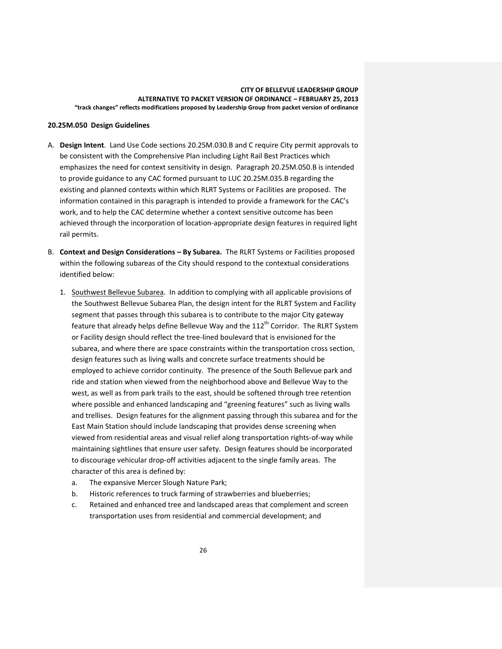#### **20.25M.050 Design Guidelines**

- A. **Design Intent**. Land Use Code sections 20.25M.030.B and C require City permit approvals to be consistent with the Comprehensive Plan including Light Rail Best Practices which emphasizes the need for context sensitivity in design. Paragraph 20.25M.050.B is intended to provide guidance to any CAC formed pursuant to LUC 20.25M.035.B regarding the existing and planned contexts within which RLRT Systems or Facilities are proposed. The information contained in this paragraph is intended to provide a framework for the CAC's work, and to help the CAC determine whether a context sensitive outcome has been achieved through the incorporation of location-appropriate design features in required light rail permits.
- B. **Context and Design Considerations – By Subarea.** The RLRT Systems or Facilities proposed within the following subareas of the City should respond to the contextual considerations identified below:
	- 1. Southwest Bellevue Subarea. In addition to complying with all applicable provisions of the Southwest Bellevue Subarea Plan, the design intent for the RLRT System and Facility segment that passes through this subarea is to contribute to the major City gateway feature that already helps define Bellevue Way and the  $112<sup>th</sup>$  Corridor. The RLRT System or Facility design should reflect the tree-lined boulevard that is envisioned for the subarea, and where there are space constraints within the transportation cross section, design features such as living walls and concrete surface treatments should be employed to achieve corridor continuity. The presence of the South Bellevue park and ride and station when viewed from the neighborhood above and Bellevue Way to the west, as well as from park trails to the east, should be softened through tree retention where possible and enhanced landscaping and "greening features" such as living walls and trellises. Design features for the alignment passing through this subarea and for the East Main Station should include landscaping that provides dense screening when viewed from residential areas and visual relief along transportation rights-of-way while maintaining sightlines that ensure user safety. Design features should be incorporated to discourage vehicular drop-off activities adjacent to the single family areas. The character of this area is defined by:
		- a. The expansive Mercer Slough Nature Park;
		- b. Historic references to truck farming of strawberries and blueberries;
		- c. Retained and enhanced tree and landscaped areas that complement and screen transportation uses from residential and commercial development; and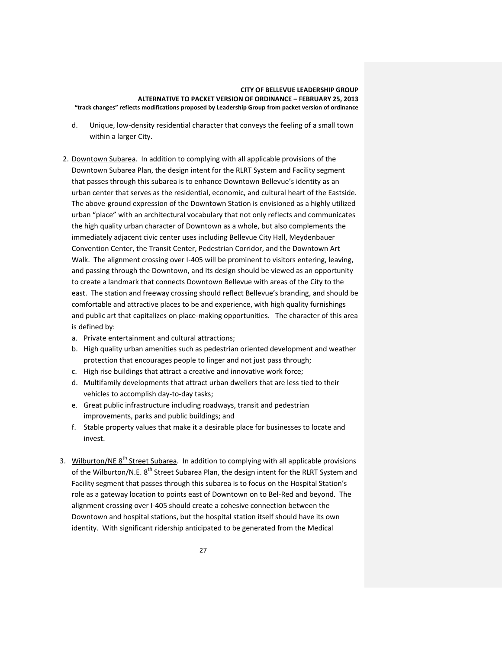- d. Unique, low-density residential character that conveys the feeling of a small town within a larger City.
- 2. Downtown Subarea. In addition to complying with all applicable provisions of the Downtown Subarea Plan, the design intent for the RLRT System and Facility segment that passes through this subarea is to enhance Downtown Bellevue's identity as an urban center that serves as the residential, economic, and cultural heart of the Eastside. The above-ground expression of the Downtown Station is envisioned as a highly utilized urban "place" with an architectural vocabulary that not only reflects and communicates the high quality urban character of Downtown as a whole, but also complements the immediately adjacent civic center uses including Bellevue City Hall, Meydenbauer Convention Center, the Transit Center, Pedestrian Corridor, and the Downtown Art Walk. The alignment crossing over I-405 will be prominent to visitors entering, leaving, and passing through the Downtown, and its design should be viewed as an opportunity to create a landmark that connects Downtown Bellevue with areas of the City to the east. The station and freeway crossing should reflect Bellevue's branding, and should be comfortable and attractive places to be and experience, with high quality furnishings and public art that capitalizes on place-making opportunities. The character of this area is defined by:
	- a. Private entertainment and cultural attractions;
	- b. High quality urban amenities such as pedestrian oriented development and weather protection that encourages people to linger and not just pass through;
	- c. High rise buildings that attract a creative and innovative work force;
	- d. Multifamily developments that attract urban dwellers that are less tied to their vehicles to accomplish day-to-day tasks;
	- e. Great public infrastructure including roadways, transit and pedestrian improvements, parks and public buildings; and
	- f. Stable property values that make it a desirable place for businesses to locate and invest.
- 3. Wilburton/NE 8<sup>th</sup> Street Subarea. In addition to complying with all applicable provisions of the Wilburton/N.E. 8<sup>th</sup> Street Subarea Plan, the design intent for the RLRT System and Facility segment that passes through this subarea is to focus on the Hospital Station's role as a gateway location to points east of Downtown on to Bel-Red and beyond. The alignment crossing over I-405 should create a cohesive connection between the Downtown and hospital stations, but the hospital station itself should have its own identity. With significant ridership anticipated to be generated from the Medical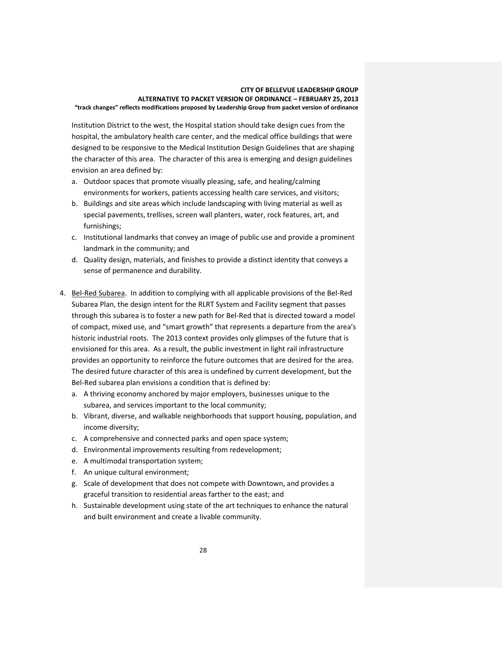Institution District to the west, the Hospital station should take design cues from the hospital, the ambulatory health care center, and the medical office buildings that were designed to be responsive to the Medical Institution Design Guidelines that are shaping the character of this area. The character of this area is emerging and design guidelines envision an area defined by:

- a. Outdoor spaces that promote visually pleasing, safe, and healing/calming environments for workers, patients accessing health care services, and visitors;
- b. Buildings and site areas which include landscaping with living material as well as special pavements, trellises, screen wall planters, water, rock features, art, and furnishings;
- c. Institutional landmarks that convey an image of public use and provide a prominent landmark in the community; and
- d. Quality design, materials, and finishes to provide a distinct identity that conveys a sense of permanence and durability.
- 4. Bel-Red Subarea. In addition to complying with all applicable provisions of the Bel-Red Subarea Plan, the design intent for the RLRT System and Facility segment that passes through this subarea is to foster a new path for Bel-Red that is directed toward a model of compact, mixed use, and "smart growth" that represents a departure from the area's historic industrial roots. The 2013 context provides only glimpses of the future that is envisioned for this area. As a result, the public investment in light rail infrastructure provides an opportunity to reinforce the future outcomes that are desired for the area. The desired future character of this area is undefined by current development, but the Bel-Red subarea plan envisions a condition that is defined by:
	- a. A thriving economy anchored by major employers, businesses unique to the subarea, and services important to the local community;
	- b. Vibrant, diverse, and walkable neighborhoods that support housing, population, and income diversity;
	- c. A comprehensive and connected parks and open space system;
	- d. Environmental improvements resulting from redevelopment;
	- e. A multimodal transportation system;
	- f. An unique cultural environment;
	- g. Scale of development that does not compete with Downtown, and provides a graceful transition to residential areas farther to the east; and
	- h. Sustainable development using state of the art techniques to enhance the natural and built environment and create a livable community.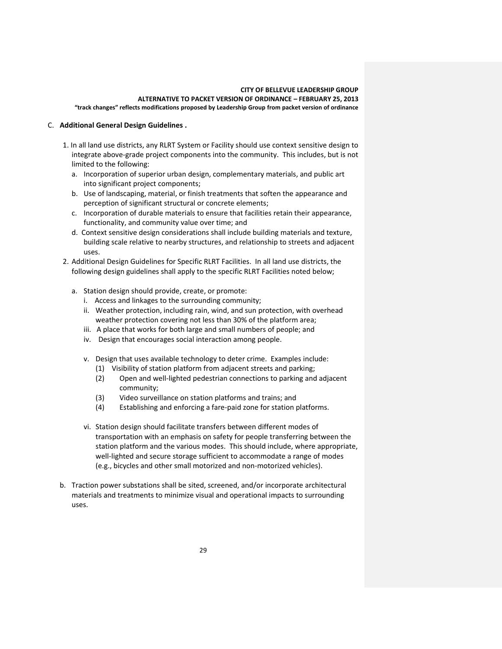## C. **Additional General Design Guidelines .**

- 1. In all land use districts, any RLRT System or Facility should use context sensitive design to integrate above-grade project components into the community. This includes, but is not limited to the following:
	- a. Incorporation of superior urban design, complementary materials, and public art into significant project components;
	- b. Use of landscaping, material, or finish treatments that soften the appearance and perception of significant structural or concrete elements;
	- c. Incorporation of durable materials to ensure that facilities retain their appearance, functionality, and community value over time; and
	- d. Context sensitive design considerations shall include building materials and texture, building scale relative to nearby structures, and relationship to streets and adjacent uses.
- 2. Additional Design Guidelines for Specific RLRT Facilities. In all land use districts, the following design guidelines shall apply to the specific RLRT Facilities noted below;
	- a. Station design should provide, create, or promote:
		- i. Access and linkages to the surrounding community;
		- ii. Weather protection, including rain, wind, and sun protection, with overhead weather protection covering not less than 30% of the platform area;
		- iii. A place that works for both large and small numbers of people; and
		- iv. Design that encourages social interaction among people.
		- v. Design that uses available technology to deter crime. Examples include:
			- (1) Visibility of station platform from adjacent streets and parking;
			- (2) Open and well-lighted pedestrian connections to parking and adjacent community;
			- (3) Video surveillance on station platforms and trains; and
			- (4) Establishing and enforcing a fare-paid zone for station platforms.
		- vi. Station design should facilitate transfers between different modes of transportation with an emphasis on safety for people transferring between the station platform and the various modes. This should include, where appropriate, well-lighted and secure storage sufficient to accommodate a range of modes (e.g., bicycles and other small motorized and non-motorized vehicles).
- b. Traction power substations shall be sited, screened, and/or incorporate architectural materials and treatments to minimize visual and operational impacts to surrounding uses.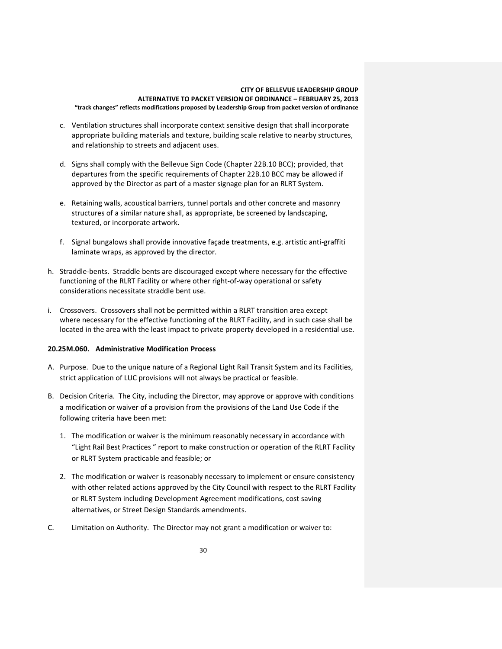- c. Ventilation structures shall incorporate context sensitive design that shall incorporate appropriate building materials and texture, building scale relative to nearby structures, and relationship to streets and adjacent uses.
- d. Signs shall comply with the Bellevue Sign Code (Chapter 22B.10 BCC); provided, that departures from the specific requirements of Chapter 22B.10 BCC may be allowed if approved by the Director as part of a master signage plan for an RLRT System.
- e. Retaining walls, acoustical barriers, tunnel portals and other concrete and masonry structures of a similar nature shall, as appropriate, be screened by landscaping, textured, or incorporate artwork.
- f. Signal bungalows shall provide innovative façade treatments, e.g. artistic anti-graffiti laminate wraps, as approved by the director.
- h. Straddle-bents. Straddle bents are discouraged except where necessary for the effective functioning of the RLRT Facility or where other right-of-way operational or safety considerations necessitate straddle bent use.
- i. Crossovers. Crossovers shall not be permitted within a RLRT transition area except where necessary for the effective functioning of the RLRT Facility, and in such case shall be located in the area with the least impact to private property developed in a residential use.

# **20.25M.060. Administrative Modification Process**

- A. Purpose. Due to the unique nature of a Regional Light Rail Transit System and its Facilities, strict application of LUC provisions will not always be practical or feasible.
- B. Decision Criteria. The City, including the Director, may approve or approve with conditions a modification or waiver of a provision from the provisions of the Land Use Code if the following criteria have been met:
	- 1. The modification or waiver is the minimum reasonably necessary in accordance with "Light Rail Best Practices " report to make construction or operation of the RLRT Facility or RLRT System practicable and feasible; or
	- 2. The modification or waiver is reasonably necessary to implement or ensure consistency with other related actions approved by the City Council with respect to the RLRT Facility or RLRT System including Development Agreement modifications, cost saving alternatives, or Street Design Standards amendments.
- C. Limitation on Authority. The Director may not grant a modification or waiver to: